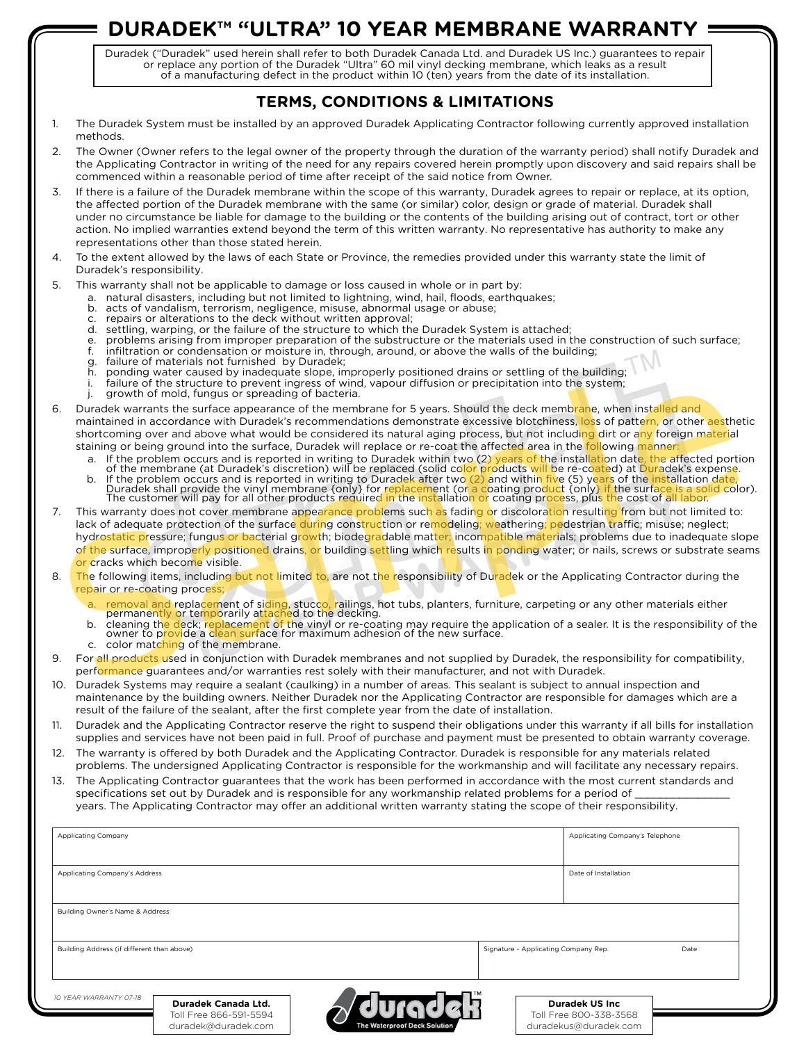# **DURADEK™ "ULTRA" 10 YEAR MEMBRANE WARRANTY**

Duradek ("Duradek" used herein shall refer to both Duradek Canada Ltd. and Duradek US Inc.) guarantees to repair or replace any portion of the Duradek "Ultra" 60 mil vinyl decking membrane, which leaks as a result of a manufacturing defect in the product within 10 (ten) years from the date of its installation.

## **TERMS, CONDITIONS & LIMITATIONS**

- 1. The Duradek System must be installed by an approved Duradek Applicating Contractor following currently approved installation methods.
- 2. The Owner (Owner refers to the legal owner of the property through the duration of the warranty period) shall notify Duradek and the Applicating Contractor in writing of the need for any repairs covered herein promptly upon discovery and said repairs shall be commenced within a reasonable period of time after receipt of the said notice from Owner.
- 3. If there is a failure of the Duradek membrane within the scope of this warranty, Duradek agrees to repair or replace, at its option, the affected portion of the Duradek membrane with the same (or similar) color, design or grade of material. Duradek shall under no circumstance be liable for damage to the building or the contents of the building arising out of contract, tort or other action. No implied warranties extend beyond the term of this written warranty. No representative has authority to make any representations other than those stated herein.
- 4. To the extent allowed by the laws of each State or Province, the remedies provided under this warranty state the limit of Duradek's responsibility.
- 5. This warranty shall not be applicable to damage or loss caused in whole or in part by:
	- a. natural disasters, including but not limited to lightning, wind, hail, floods, earthquakes;
		- acts of vandalism, terrorism, negligence, misuse, abnormal usage or abuse;
		- repairs or alterations to the deck without written approval;
	- d. settling, warping, or the failure of the structure to which the Duradek System is attached;
	- e. problems arising from improper preparation of the substructure or the materials used in the construction of such surface;<br>f. infiltration or condensation or moisture in, through, around, or above the walls of the buildi
	- infiltration or condensation or moisture in, through, around, or above the walls of the building;
	- g. failure of materials not furnished by Duradek;
	- h. ponding water caused by inadequate slope, improperly positioned drains or settling of the building; i. failure of the structure to prevent ingress of wind, vapour diffusion or precipitation into the system;
	- j. growth of mold, fungus or spreading of bacteria.
- 6. Duradek warrants the surface appearance of the membrane for 5 years. Should the deck membrane, when installed and maintained in accordance with Duradek's recommendations demonstrate excessive blotchiness, loss of pattern, or other aesthetic shortcoming over and above what would be considered its natural aging process, but not including dirt or any foreign material staining or being ground into the surface, Duradek will replace or re-coat the affected area in the following manner
	- a. If the problem occurs and is reported in writing to Duradek within two (2) years of the installation date, the affected portion<br>.of the membrane (at Duradek's discretion) will be replaced (solid color products will be r
	- b. If the problem occurs and is reported in writing to Duradek after tw<mark>o (2) an</mark>d within five (5) years of the installation <mark>date</mark>, Duradek shall provide the vinyl membrane {only} for replacement (or a coating product {only} if the surface is a solid color).<br>The customer will pay for all other products required in the installation or coating process, p
- For the winyi membrane (only) for replacement (or a coating product conty it the surrace is<br>fill pay for all other products required in the installation or coating process, plus the cost of all<br>of the surface during constr 7. This warranty does not cover membrane appearance problems such as fading or discoloration resulting from but not limited to: lack of adequate protection of the surface during construction or remodeling; weathering; pedestrian traffic; misuse; neglect; hydrostatic pressure; fungus or bacterial growth; biodegradable matter; incompatible materials; problems due to inadequate slope of the surface, improperly positioned drains, or building settling which results in ponding water; or nails, screws or substrate seams or cracks which become visible. S. Duradek warrants the surface appearance of the membrane for 5 years. Should the deck membrane, when installed and<br>maintained in accordance with Duradek's recommendations demonstrate execesive blottenines, loss of patter
- 8. The following items, including but not limited to, are not the responsibility of Duradek or the Applicating Contractor during the repair or re-coating process
	- a. Temoval and replacement of siding, stucco, railings, hot tubs, planters, furniture, carpeting or any other materials either<br>permanently or temporarily attached to the decking.
	- b. cleaning the deck; replacement of the vinyl or re-coating may require the application of a sealer. It is the responsibility of the<br>owner to provide a clean surface for maximum adhesion of the new surface.
	- c. color matching of the membrane.
- 9. For all products used in conjunction with Duradek membranes and not supplied by Duradek, the responsibility for compatibility, performance guarantees and/or warranties rest solely with their manufacturer, and not with Duradek.
- 10. Duradek Systems may require a sealant (caulking) in a number of areas. This sealant is subject to annual inspection and maintenance by the building owners. Neither Duradek nor the Applicating Contractor are responsible for damages which are a result of the failure of the sealant, after the first complete year from the date of installation.
- 11. Duradek and the Applicating Contractor reserve the right to suspend their obligations under this warranty if all bills for installation supplies and services have not been paid in full. Proof of purchase and payment must be presented to obtain warranty coverage.
- 12. The warranty is offered by both Duradek and the Applicating Contractor. Duradek is responsible for any materials related problems. The undersigned Applicating Contractor is responsible for the workmanship and will facilitate any necessary repairs.
- 13. The Applicating Contractor guarantees that the work has been performed in accordance with the most current standards and specifications set out by Duradek and is responsible for any workmanship related problems for a period of years. The Applicating Contractor may offer an additional written warranty stating the scope of their responsibility.

| <b>Applicating Company</b>                 |                                               |                              |                                              | Applicating Company's Telephone                 |  |
|--------------------------------------------|-----------------------------------------------|------------------------------|----------------------------------------------|-------------------------------------------------|--|
| Applicating Company's Address              |                                               |                              | Date of Installation                         |                                                 |  |
|                                            |                                               |                              |                                              |                                                 |  |
| Building Owner's Name & Address            |                                               |                              |                                              |                                                 |  |
| Building Address (if different than above) |                                               |                              | Date<br>Signature - Applicating Company Rep. |                                                 |  |
|                                            |                                               |                              |                                              |                                                 |  |
| 10 YEAR WARRANTY 07-18                     | Duradek Canada Ltd.                           |                              |                                              | <b>Duradek US Inc.</b>                          |  |
|                                            | Toll Free 866-591-5594<br>duradek@duradek.com | The Waterproof Deck Solution |                                              | Toll Free 800-338-3568<br>duradekus@duradek.com |  |